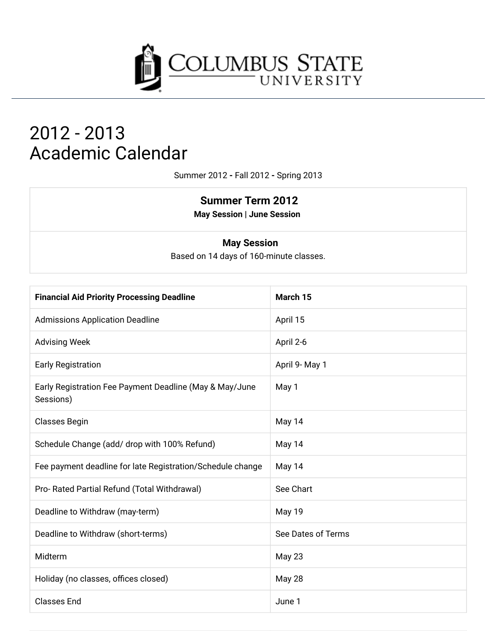

# 2012 - 2013 **Academic Calendar**

Summer 2012 - Fall 2012 - Spring 2013

### **Summer Term 2012**

**May Session | June Session** 

#### **May Session**

Based on 14 days of 160-minute classes.

| <b>Financial Aid Priority Processing Deadline</b>                    | March 15           |
|----------------------------------------------------------------------|--------------------|
| <b>Admissions Application Deadline</b>                               | April 15           |
| <b>Advising Week</b>                                                 | April 2-6          |
| <b>Early Registration</b>                                            | April 9- May 1     |
| Early Registration Fee Payment Deadline (May & May/June<br>Sessions) | May 1              |
| <b>Classes Begin</b>                                                 | May 14             |
| Schedule Change (add/ drop with 100% Refund)                         | May 14             |
| Fee payment deadline for late Registration/Schedule change           | May 14             |
| Pro- Rated Partial Refund (Total Withdrawal)                         | See Chart          |
| Deadline to Withdraw (may-term)                                      | May 19             |
| Deadline to Withdraw (short-terms)                                   | See Dates of Terms |
| Midterm                                                              | <b>May 23</b>      |
| Holiday (no classes, offices closed)                                 | May 28             |
| <b>Classes End</b>                                                   | June 1             |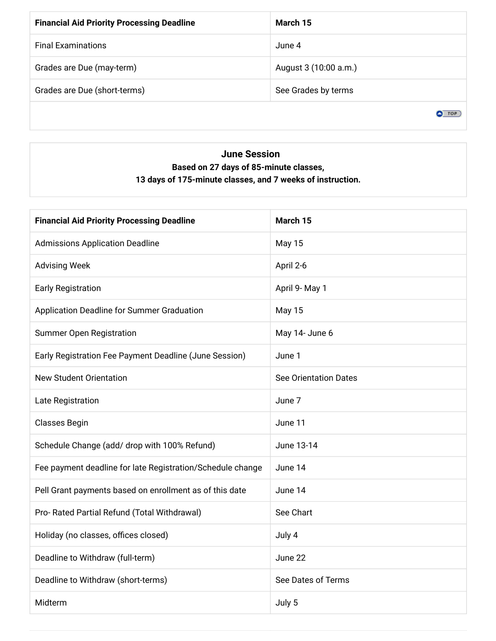| <b>Financial Aid Priority Processing Deadline</b> | March 15              |
|---------------------------------------------------|-----------------------|
| <b>Final Examinations</b>                         | June 4                |
| Grades are Due (may-term)                         | August 3 (10:00 a.m.) |
| Grades are Due (short-terms)                      | See Grades by terms   |
|                                                   |                       |

### **June Session** Based on 27 days of 85-minute classes, 13 days of 175-minute classes, and 7 weeks of instruction.

| <b>Financial Aid Priority Processing Deadline</b>          | March 15                     |
|------------------------------------------------------------|------------------------------|
| <b>Admissions Application Deadline</b>                     | May 15                       |
| <b>Advising Week</b>                                       | April 2-6                    |
| <b>Early Registration</b>                                  | April 9- May 1               |
| Application Deadline for Summer Graduation                 | <b>May 15</b>                |
| <b>Summer Open Registration</b>                            | May 14- June 6               |
| Early Registration Fee Payment Deadline (June Session)     | June 1                       |
| <b>New Student Orientation</b>                             | <b>See Orientation Dates</b> |
| Late Registration                                          | June 7                       |
| <b>Classes Begin</b>                                       | June 11                      |
| Schedule Change (add/ drop with 100% Refund)               | June 13-14                   |
| Fee payment deadline for late Registration/Schedule change | June 14                      |
| Pell Grant payments based on enrollment as of this date    | June 14                      |
| Pro- Rated Partial Refund (Total Withdrawal)               | See Chart                    |
| Holiday (no classes, offices closed)                       | July 4                       |
| Deadline to Withdraw (full-term)                           | June 22                      |
| Deadline to Withdraw (short-terms)                         | See Dates of Terms           |
| Midterm                                                    | July 5                       |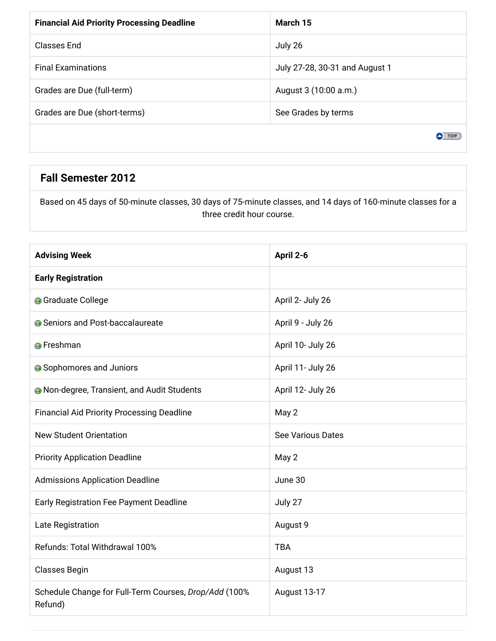| <b>Financial Aid Priority Processing Deadline</b> | March 15                       |
|---------------------------------------------------|--------------------------------|
| Classes End                                       | July 26                        |
| <b>Final Examinations</b>                         | July 27-28, 30-31 and August 1 |
| Grades are Due (full-term)                        | August 3 (10:00 a.m.)          |
| Grades are Due (short-terms)                      | See Grades by terms            |
|                                                   |                                |

### **Fall Semester 2012**

Based on 45 days of 50-minute classes, 30 days of 75-minute classes, and 14 days of 160-minute classes for a three credit hour course.

| <b>Advising Week</b>                                             | April 2-6                |
|------------------------------------------------------------------|--------------------------|
| <b>Early Registration</b>                                        |                          |
| <b>G</b> Graduate College                                        | April 2- July 26         |
| ● Seniors and Post-baccalaureate                                 | April 9 - July 26        |
| <b>A</b> Freshman                                                | April 10- July 26        |
| <b>•</b> Sophomores and Juniors                                  | April 11- July 26        |
| <b>A</b> Non-degree, Transient, and Audit Students               | April 12- July 26        |
| <b>Financial Aid Priority Processing Deadline</b>                | May 2                    |
| <b>New Student Orientation</b>                                   | <b>See Various Dates</b> |
| <b>Priority Application Deadline</b>                             | May 2                    |
| <b>Admissions Application Deadline</b>                           | June 30                  |
| Early Registration Fee Payment Deadline                          | July 27                  |
| Late Registration                                                | August 9                 |
| Refunds: Total Withdrawal 100%                                   | <b>TBA</b>               |
| <b>Classes Begin</b>                                             | August 13                |
| Schedule Change for Full-Term Courses, Drop/Add (100%<br>Refund) | August 13-17             |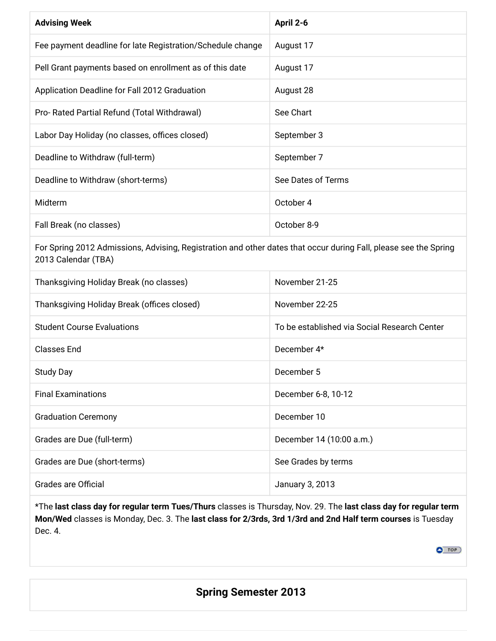| <b>Advising Week</b>                                                                                                                    | April 2-6                                    |
|-----------------------------------------------------------------------------------------------------------------------------------------|----------------------------------------------|
| Fee payment deadline for late Registration/Schedule change                                                                              | August 17                                    |
| Pell Grant payments based on enrollment as of this date                                                                                 | August 17                                    |
| Application Deadline for Fall 2012 Graduation                                                                                           | August 28                                    |
| Pro- Rated Partial Refund (Total Withdrawal)                                                                                            | See Chart                                    |
| Labor Day Holiday (no classes, offices closed)                                                                                          | September 3                                  |
| Deadline to Withdraw (full-term)                                                                                                        | September 7                                  |
| Deadline to Withdraw (short-terms)                                                                                                      | See Dates of Terms                           |
| Midterm                                                                                                                                 | October 4                                    |
| Fall Break (no classes)                                                                                                                 | October 8-9                                  |
| For Spring 2012 Admissions, Advising, Registration and other dates that occur during Fall, please see the Spring<br>2013 Calendar (TBA) |                                              |
| Thanksgiving Holiday Break (no classes)                                                                                                 | November 21-25                               |
| Thanksgiving Holiday Break (offices closed)                                                                                             | November 22-25                               |
| <b>Student Course Evaluations</b>                                                                                                       | To be established via Social Research Center |
| <b>Classes End</b>                                                                                                                      | December 4*                                  |
| <b>Study Day</b>                                                                                                                        | December 5                                   |
| <b>Final Examinations</b>                                                                                                               | December 6-8, 10-12                          |
| <b>Graduation Ceremony</b>                                                                                                              | December 10                                  |
| Grades are Due (full-term)                                                                                                              | December 14 (10:00 a.m.)                     |
| Grades are Due (short-terms)                                                                                                            | See Grades by terms                          |
| Grades are Official                                                                                                                     | January 3, 2013                              |

\*The last class day for regular term Tues/Thurs classes is Thursday, Nov. 29. The last class day for regular term Mon/Wed classes is Monday, Dec. 3. The last class for 2/3rds, 3rd 1/3rd and 2nd Half term courses is Tuesday Dec. 4.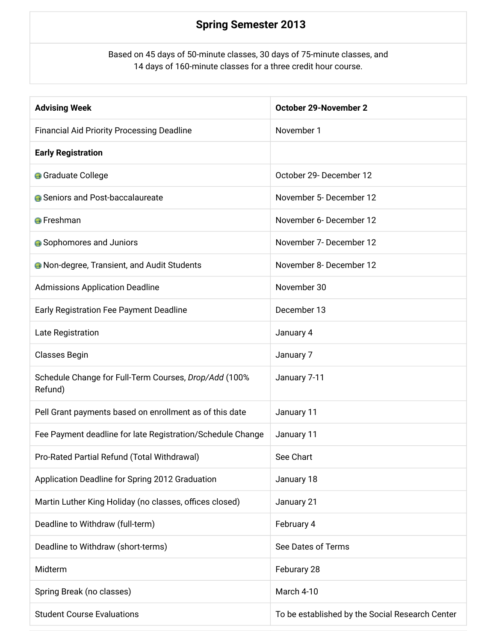## **Spring Semester 2013**

Based on 45 days of 50-minute classes, 30 days of 75-minute classes, and 14 days of 160-minute classes for a three credit hour course.

| <b>Advising Week</b>                                             | October 29-November 2                           |
|------------------------------------------------------------------|-------------------------------------------------|
| <b>Financial Aid Priority Processing Deadline</b>                | November 1                                      |
| <b>Early Registration</b>                                        |                                                 |
| <b>G</b> Graduate College                                        | October 29- December 12                         |
| <b>A</b> Seniors and Post-baccalaureate                          | November 5- December 12                         |
| <b>O</b> Freshman                                                | November 6- December 12                         |
| • Sophomores and Juniors                                         | November 7- December 12                         |
| <b>A</b> Non-degree, Transient, and Audit Students               | November 8- December 12                         |
| <b>Admissions Application Deadline</b>                           | November 30                                     |
| Early Registration Fee Payment Deadline                          | December 13                                     |
| Late Registration                                                | January 4                                       |
| <b>Classes Begin</b>                                             | January 7                                       |
| Schedule Change for Full-Term Courses, Drop/Add (100%<br>Refund) | January 7-11                                    |
| Pell Grant payments based on enrollment as of this date          | January 11                                      |
| Fee Payment deadline for late Registration/Schedule Change       | January 11                                      |
| Pro-Rated Partial Refund (Total Withdrawal)                      | See Chart                                       |
| Application Deadline for Spring 2012 Graduation                  | January 18                                      |
| Martin Luther King Holiday (no classes, offices closed)          | January 21                                      |
| Deadline to Withdraw (full-term)                                 | February 4                                      |
| Deadline to Withdraw (short-terms)                               | See Dates of Terms                              |
| Midterm                                                          | Feburary 28                                     |
| Spring Break (no classes)                                        | March 4-10                                      |
| <b>Student Course Evaluations</b>                                | To be established by the Social Research Center |